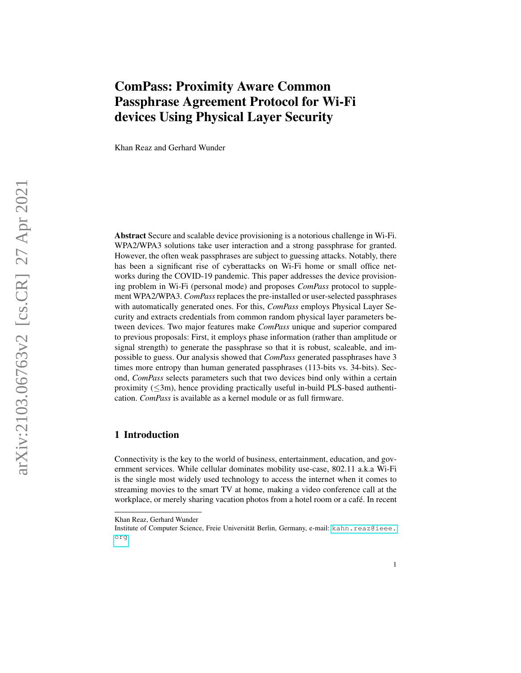# ComPass: Proximity Aware Common Passphrase Agreement Protocol for Wi-Fi devices Using Physical Layer Security

Khan Reaz and Gerhard Wunder

Abstract Secure and scalable device provisioning is a notorious challenge in Wi-Fi. WPA2/WPA3 solutions take user interaction and a strong passphrase for granted. However, the often weak passphrases are subject to guessing attacks. Notably, there has been a significant rise of cyberattacks on Wi-Fi home or small office networks during the COVID-19 pandemic. This paper addresses the device provisioning problem in Wi-Fi (personal mode) and proposes *ComPass* protocol to supplement WPA2/WPA3. *ComPass*replaces the pre-installed or user-selected passphrases with automatically generated ones. For this, *ComPass* employs Physical Layer Security and extracts credentials from common random physical layer parameters between devices. Two major features make *ComPass* unique and superior compared to previous proposals: First, it employs phase information (rather than amplitude or signal strength) to generate the passphrase so that it is robust, scaleable, and impossible to guess. Our analysis showed that *ComPass* generated passphrases have 3 times more entropy than human generated passphrases (113-bits vs. 34-bits). Second, *ComPass* selects parameters such that two devices bind only within a certain proximity ( ≤3m), hence providing practically useful in-build PLS-based authentication. *ComPass* is available as a kernel module or as full firmware.

# 1 Introduction

Connectivity is the key to the world of business, entertainment, education, and government services. While cellular dominates mobility use-case, 802.11 a.k.a Wi-Fi is the single most widely used technology to access the internet when it comes to streaming movies to the smart TV at home, making a video conference call at the workplace, or merely sharing vacation photos from a hotel room or a café. In recent

Khan Reaz, Gerhard Wunder

Institute of Computer Science, Freie Universität Berlin, Germany, e-mail: [kahn.reaz@ieee.](kahn.reaz@ieee.org) [org](kahn.reaz@ieee.org)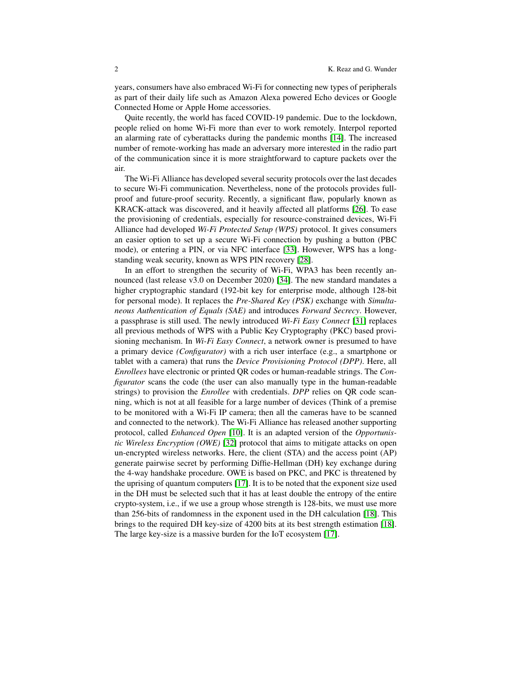years, consumers have also embraced Wi-Fi for connecting new types of peripherals as part of their daily life such as Amazon Alexa powered Echo devices or Google Connected Home or Apple Home accessories.

Quite recently, the world has faced COVID-19 pandemic. Due to the lockdown, people relied on home Wi-Fi more than ever to work remotely. Interpol reported an alarming rate of cyberattacks during the pandemic months [\[14\]](#page-12-0). The increased number of remote-working has made an adversary more interested in the radio part of the communication since it is more straightforward to capture packets over the air.

The Wi-Fi Alliance has developed several security protocols over the last decades to secure Wi-Fi communication. Nevertheless, none of the protocols provides fullproof and future-proof security. Recently, a significant flaw, popularly known as KRACK-attack was discovered, and it heavily affected all platforms [\[26\]](#page-13-0). To ease the provisioning of credentials, especially for resource-constrained devices, Wi-Fi Alliance had developed *Wi-Fi Protected Setup (WPS)* protocol. It gives consumers an easier option to set up a secure Wi-Fi connection by pushing a button (PBC mode), or entering a PIN, or via NFC interface [\[33\]](#page-13-1). However, WPS has a longstanding weak security, known as WPS PIN recovery [\[28\]](#page-13-2).

In an effort to strengthen the security of Wi-Fi, WPA3 has been recently announced (last release v3.0 on December 2020) [\[34\]](#page-13-3). The new standard mandates a higher cryptographic standard (192-bit key for enterprise mode, although 128-bit for personal mode). It replaces the *Pre-Shared Key (PSK)* exchange with *Simultaneous Authentication of Equals (SAE)* and introduces *Forward Secrecy*. However, a passphrase is still used. The newly introduced *Wi-Fi Easy Connect* [\[31\]](#page-13-4) replaces all previous methods of WPS with a Public Key Cryptography (PKC) based provisioning mechanism. In *Wi-Fi Easy Connect*, a network owner is presumed to have a primary device *(Configurator)* with a rich user interface (e.g., a smartphone or tablet with a camera) that runs the *Device Provisioning Protocol (DPP)*. Here, all *Enrollees* have electronic or printed QR codes or human-readable strings. The *Configurator* scans the code (the user can also manually type in the human-readable strings) to provision the *Enrollee* with credentials. *DPP* relies on QR code scanning, which is not at all feasible for a large number of devices (Think of a premise to be monitored with a Wi-Fi IP camera; then all the cameras have to be scanned and connected to the network). The Wi-Fi Alliance has released another supporting protocol, called *Enhanced Open* [\[10\]](#page-12-1). It is an adapted version of the *Opportunistic Wireless Encryption (OWE)* [\[32\]](#page-13-5) protocol that aims to mitigate attacks on open un-encrypted wireless networks. Here, the client (STA) and the access point (AP) generate pairwise secret by performing Diffie-Hellman (DH) key exchange during the 4-way handshake procedure. OWE is based on PKC, and PKC is threatened by the uprising of quantum computers [\[17\]](#page-13-6). It is to be noted that the exponent size used in the DH must be selected such that it has at least double the entropy of the entire crypto-system, i.e., if we use a group whose strength is 128-bits, we must use more than 256-bits of randomness in the exponent used in the DH calculation [\[18\]](#page-13-7). This brings to the required DH key-size of 4200 bits at its best strength estimation [\[18\]](#page-13-7). The large key-size is a massive burden for the IoT ecosystem [\[17\]](#page-13-6).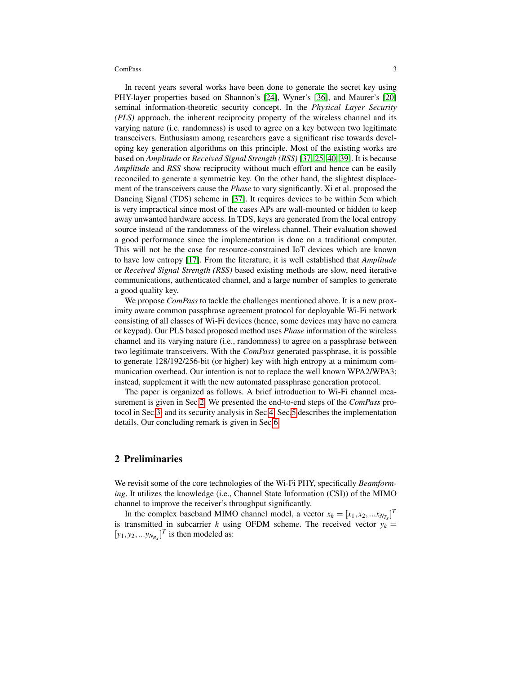In recent years several works have been done to generate the secret key using PHY-layer properties based on Shannon's [\[24\]](#page-13-8), Wyner's [\[36\]](#page-13-9), and Maurer's [\[20\]](#page-13-10) seminal information-theoretic security concept. In the *Physical Layer Security (PLS)* approach, the inherent reciprocity property of the wireless channel and its varying nature (i.e. randomness) is used to agree on a key between two legitimate transceivers. Enthusiasm among researchers gave a significant rise towards developing key generation algorithms on this principle. Most of the existing works are based on *Amplitude* or *Received Signal Strength (RSS)* [\[37,](#page-13-11) [25,](#page-13-12) [40,](#page-13-13) [39\]](#page-13-14). It is because *Amplitude* and *RSS* show reciprocity without much effort and hence can be easily reconciled to generate a symmetric key. On the other hand, the slightest displacement of the transceivers cause the *Phase* to vary significantly. Xi et al. proposed the Dancing Signal (TDS) scheme in [\[37\]](#page-13-11). It requires devices to be within 5cm which is very impractical since most of the cases APs are wall-mounted or hidden to keep away unwanted hardware access. In TDS, keys are generated from the local entropy source instead of the randomness of the wireless channel. Their evaluation showed a good performance since the implementation is done on a traditional computer. This will not be the case for resource-constrained IoT devices which are known to have low entropy [\[17\]](#page-13-6). From the literature, it is well established that *Amplitude* or *Received Signal Strength (RSS)* based existing methods are slow, need iterative communications, authenticated channel, and a large number of samples to generate a good quality key.

We propose *ComPass* to tackle the challenges mentioned above. It is a new proximity aware common passphrase agreement protocol for deployable Wi-Fi network consisting of all classes of Wi-Fi devices (hence, some devices may have no camera or keypad). Our PLS based proposed method uses *Phase* information of the wireless channel and its varying nature (i.e., randomness) to agree on a passphrase between two legitimate transceivers. With the *ComPass* generated passphrase, it is possible to generate 128/192/256-bit (or higher) key with high entropy at a minimum communication overhead. Our intention is not to replace the well known WPA2/WPA3; instead, supplement it with the new automated passphrase generation protocol.

The paper is organized as follows. A brief introduction to Wi-Fi channel measurement is given in Sec[.2.](#page-2-0) We presented the end-to-end steps of the *ComPass* protocol in Sec[.3.](#page-3-0) and its security analysis in Sec[.4.](#page-9-0) Sec[.5](#page-11-0) describes the implementation details. Our concluding remark is given in Sec[.6.](#page-11-1)

# <span id="page-2-0"></span>2 Preliminaries

We revisit some of the core technologies of the Wi-Fi PHY, specifically *Beamforming*. It utilizes the knowledge (i.e., Channel State Information (CSI)) of the MIMO channel to improve the receiver's throughput significantly.

In the complex baseband MIMO channel model, a vector  $x_k = [x_1, x_2, ... x_{N_{T_x}}]^T$ is transmitted in subcarrier *k* using OFDM scheme. The received vector  $y_k =$  $[y_1, y_2, \ldots, y_{N_{R_X}}]^T$  is then modeled as: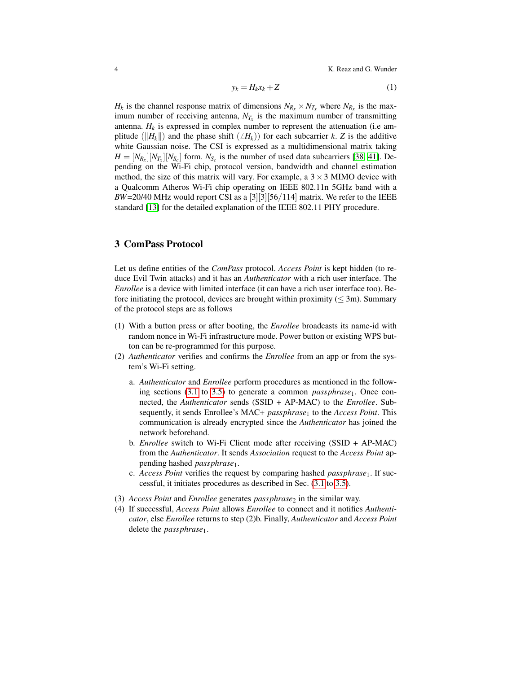4 K. Reaz and G. Wunder

$$
y_k = H_k x_k + Z \tag{1}
$$

*H<sub>k</sub>* is the channel response matrix of dimensions  $N_{R_x} \times N_{T_x}$  where  $N_{R_x}$  is the maximum number of receiving antenna,  $N_{T_x}$  is the maximum number of transmitting antenna.  $H_k$  is expressed in complex number to represent the attenuation (i.e amplitude ( $\|H_k\|$ ) and the phase shift ( $\angle H_k$ )) for each subcarrier *k*. *Z* is the additive white Gaussian noise. The CSI is expressed as a multidimensional matrix taking  $H = [N_{R_x}][N_{T_x}][N_{S_c}]$  form.  $N_{S_c}$  is the number of used data subcarriers [\[38,](#page-13-15) [41\]](#page-13-16). Depending on the Wi-Fi chip, protocol version, bandwidth and channel estimation method, the size of this matrix will vary. For example, a  $3 \times 3$  MIMO device with a Qualcomm Atheros Wi-Fi chip operating on IEEE 802.11n 5GHz band with a  $BW=20/40$  MHz would report CSI as a [3][3][56/114] matrix. We refer to the IEEE standard [\[13\]](#page-12-2) for the detailed explanation of the IEEE 802.11 PHY procedure.

# <span id="page-3-0"></span>3 ComPass Protocol

Let us define entities of the *ComPass* protocol. *Access Point* is kept hidden (to reduce Evil Twin attacks) and it has an *Authenticator* with a rich user interface. The *Enrollee* is a device with limited interface (it can have a rich user interface too). Before initiating the protocol, devices are brought within proximity ( $\leq$  3m). Summary of the protocol steps are as follows

- (1) With a button press or after booting, the *Enrollee* broadcasts its name-id with random nonce in Wi-Fi infrastructure mode. Power button or existing WPS button can be re-programmed for this purpose.
- (2) *Authenticator* verifies and confirms the *Enrollee* from an app or from the system's Wi-Fi setting.
	- a. *Authenticator* and *Enrollee* perform procedures as mentioned in the follow-ing sections [\(3.1](#page-4-0) to [3.5\)](#page-8-0) to generate a common *passphrase*<sub>1</sub>. Once connected, the *Authenticator* sends (SSID + AP-MAC) to the *Enrollee*. Subsequently, it sends Enrollee's MAC+ *passphrase*<sup>1</sup> to the *Access Point*. This communication is already encrypted since the *Authenticator* has joined the network beforehand.
	- b. *Enrollee* switch to Wi-Fi Client mode after receiving (SSID + AP-MAC) from the *Authenticator*. It sends *Association* request to the *Access Point* appending hashed *passphrase*1.
	- c. *Access Point* verifies the request by comparing hashed *passphrase*1. If successful, it initiates procedures as described in Sec. [\(3.1](#page-4-0) to [3.5\)](#page-8-0).
- (3) *Access Point* and *Enrollee* generates *passphrase*<sup>2</sup> in the similar way.
- (4) If successful, *Access Point* allows *Enrollee* to connect and it notifies *Authenticator*, else *Enrollee* returns to step (2)b. Finally, *Authenticator* and *Access Point* delete the *passphrase*1.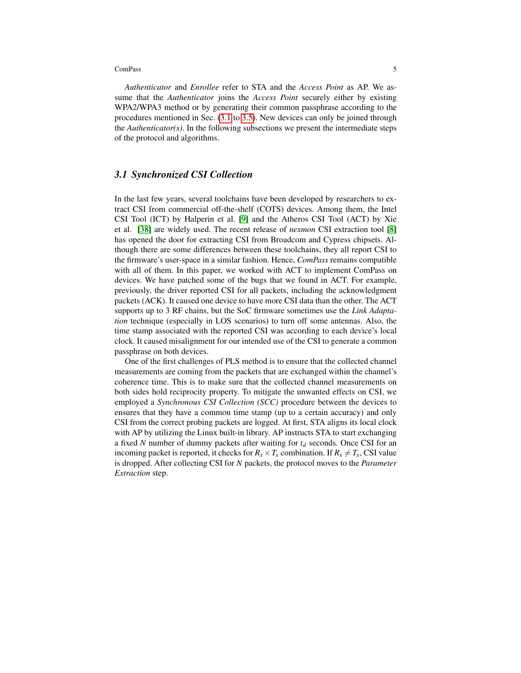*Authenticator* and *Enrollee* refer to STA and the *Access Point* as AP. We assume that the *Authenticator* joins the *Access Point* securely either by existing WPA2/WPA3 method or by generating their common passphrase according to the procedures mentioned in Sec. [\(3.1](#page-4-0) to [3.5\)](#page-8-0). New devices can only be joined through the *Authenticator(s)*. In the following subsections we present the intermediate steps of the protocol and algorithms.

# <span id="page-4-0"></span>*3.1 Synchronized CSI Collection*

In the last few years, several toolchains have been developed by researchers to extract CSI from commercial off-the-shelf (COTS) devices. Among them, the Intel CSI Tool (ICT) by Halperin et al. [\[9\]](#page-12-3) and the Atheros CSI Tool (ACT) by Xie et al. [\[38\]](#page-13-15) are widely used. The recent release of *nexmon* CSI extraction tool [\[8\]](#page-12-4) has opened the door for extracting CSI from Broadcom and Cypress chipsets. Although there are some differences between these toolchains, they all report CSI to the firmware's user-space in a similar fashion. Hence, *ComPass* remains compatible with all of them. In this paper, we worked with ACT to implement ComPass on devices. We have patched some of the bugs that we found in ACT. For example, previously, the driver reported CSI for all packets, including the acknowledgment packets (ACK). It caused one device to have more CSI data than the other. The ACT supports up to 3 RF chains, but the SoC firmware sometimes use the *Link Adaptation* technique (especially in LOS scenarios) to turn off some antennas. Also, the time stamp associated with the reported CSI was according to each device's local clock. It caused misalignment for our intended use of the CSI to generate a common passphrase on both devices.

One of the first challenges of PLS method is to ensure that the collected channel measurements are coming from the packets that are exchanged within the channel's coherence time. This is to make sure that the collected channel measurements on both sides hold reciprocity property. To mitigate the unwanted effects on CSI, we employed a *Synchronous CSI Collection (SCC)* procedure between the devices to ensures that they have a common time stamp (up to a certain accuracy) and only CSI from the correct probing packets are logged. At first, STA aligns its local clock with AP by utilizing the Linux built-in library. AP instructs STA to start exchanging a fixed *N* number of dummy packets after waiting for *t<sup>d</sup>* seconds. Once CSI for an incoming packet is reported, it checks for  $R_x \times T_x$  combination. If  $R_x \neq T_x$ , CSI value is dropped. After collecting CSI for *N* packets, the protocol moves to the *Parameter Extraction* step.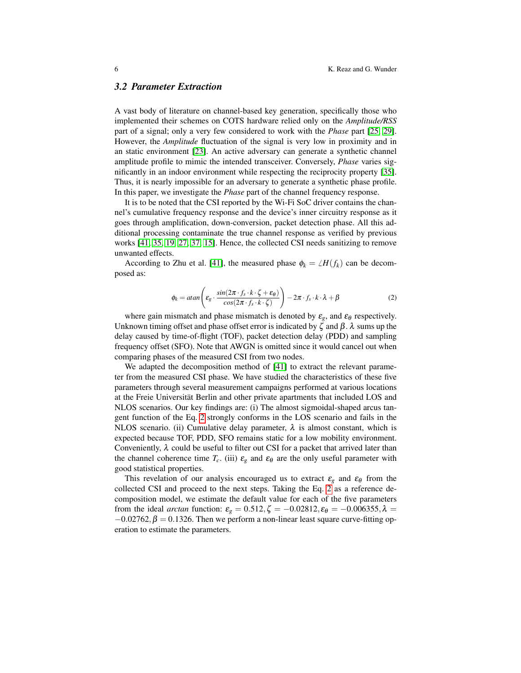### *3.2 Parameter Extraction*

A vast body of literature on channel-based key generation, specifically those who implemented their schemes on COTS hardware relied only on the *Amplitude/RSS* part of a signal; only a very few considered to work with the *Phase* part [\[25,](#page-13-12) [29\]](#page-13-17). However, the *Amplitude* fluctuation of the signal is very low in proximity and in an static environment [\[23\]](#page-13-18). An active adversary can generate a synthetic channel amplitude profile to mimic the intended transceiver. Conversely, *Phase* varies significantly in an indoor environment while respecting the reciprocity property [\[35\]](#page-13-19). Thus, it is nearly impossible for an adversary to generate a synthetic phase profile. In this paper, we investigate the *Phase* part of the channel frequency response.

It is to be noted that the CSI reported by the Wi-Fi SoC driver contains the channel's cumulative frequency response and the device's inner circuitry response as it goes through amplification, down-conversion, packet detection phase. All this additional processing contaminate the true channel response as verified by previous works [\[41,](#page-13-16) [35,](#page-13-19) [19,](#page-13-20) [27,](#page-13-21) [37,](#page-13-11) [15\]](#page-12-5). Hence, the collected CSI needs sanitizing to remove unwanted effects.

According to Zhu et al. [\[41\]](#page-13-16), the measured phase  $\phi_k = \angle H(f_k)$  can be decomposed as:

<span id="page-5-0"></span>
$$
\phi_k = \text{atan}\left(\varepsilon_g \cdot \frac{\sin(2\pi \cdot f_s \cdot k \cdot \zeta + \varepsilon_\theta)}{\cos(2\pi \cdot f_s \cdot k \cdot \zeta)}\right) - 2\pi \cdot f_s \cdot k \cdot \lambda + \beta \tag{2}
$$

where gain mismatch and phase mismatch is denoted by  $\varepsilon_g$ , and  $\varepsilon_\theta$  respectively. Unknown timing offset and phase offset error is indicated by  $\zeta$  and  $\beta$ .  $\lambda$  sums up the delay caused by time-of-flight (TOF), packet detection delay (PDD) and sampling frequency offset (SFO). Note that AWGN is omitted since it would cancel out when comparing phases of the measured CSI from two nodes.

We adapted the decomposition method of [\[41\]](#page-13-16) to extract the relevant parameter from the measured CSI phase. We have studied the characteristics of these five parameters through several measurement campaigns performed at various locations at the Freie Universität Berlin and other private apartments that included LOS and NLOS scenarios. Our key findings are: (i) The almost sigmoidal-shaped arcus tangent function of the Eq. [2](#page-5-0) strongly conforms in the LOS scenario and fails in the NLOS scenario. (ii) Cumulative delay parameter,  $\lambda$  is almost constant, which is expected because TOF, PDD, SFO remains static for a low mobility environment. Conveniently,  $\lambda$  could be useful to filter out CSI for a packet that arrived later than the channel coherence time  $T_c$ . (iii)  $\varepsilon_g$  and  $\varepsilon_\theta$  are the only useful parameter with good statistical properties.

This revelation of our analysis encouraged us to extract  $\varepsilon_g$  and  $\varepsilon_\theta$  from the collected CSI and proceed to the next steps. Taking the Eq. [2](#page-5-0) as a reference decomposition model, we estimate the default value for each of the five parameters from the ideal *arctan* function:  $\varepsilon_g = 0.512$ ,  $\zeta = -0.02812$ ,  $\varepsilon_\theta = -0.006355$ ,  $\lambda =$  $-0.02762$ ,  $\beta = 0.1326$ . Then we perform a non-linear least square curve-fitting operation to estimate the parameters.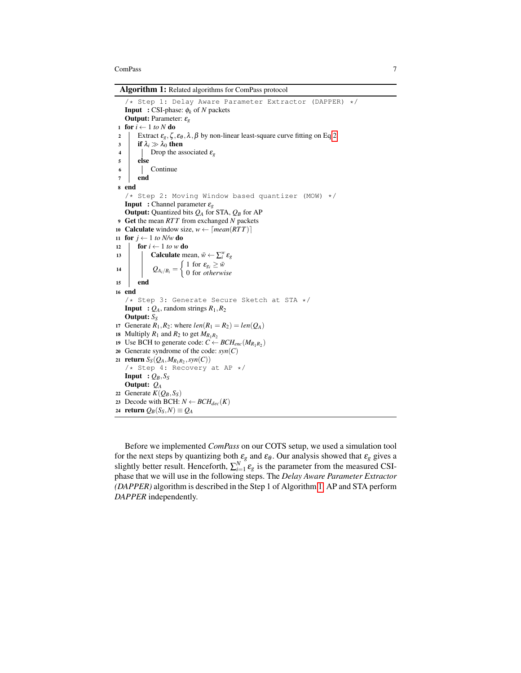Algorithm 1: Related algorithms for ComPass protocol

<span id="page-6-0"></span>/\* Step 1: Delay Aware Parameter Extractor (DAPPER) \*/ Input : CSI-phase: φ*<sup>k</sup>* of *N* packets Output: Parameter: ε*<sup>g</sup>* 1 **for**  $i \leftarrow 1$  *to*  $N$  **do** 2 Extract  $\varepsilon_g$ ,  $\zeta$ ,  $\varepsilon_\theta$ ,  $\lambda$ ,  $\beta$  by non-linear least-square curve fitting on Eq[.2](#page-5-0) 3 if  $\lambda_i \gg \lambda_0$  then<br>4 Drop the as **1** Drop the associated  $\varepsilon_g$ <sup>5</sup> else <sup>6</sup> Continue <sup>7</sup> end <sup>8</sup> end /\* Step 2: Moving Window based quantizer (MOW) \*/ Input : Channel parameter ε*<sup>g</sup>* **Output:** Quantized bits  $Q_A$  for STA,  $Q_B$  for AP <sup>9</sup> Get the mean *RT T* from exchanged *N* packets 10 **Calculate** window size,  $w \leftarrow \lceil \text{mean}(RTT) \rceil$ 11 for  $j \leftarrow 1$  to N/w do 12 **for**  $i \leftarrow 1$  *to w* **do** 13 **calculate** mean,  $\bar{w} \leftarrow \sum_{i}^{w} \varepsilon_{g}$ 14  $Q_{A_i/B_i} = \begin{cases} 1 \text{ for } \varepsilon_{g_i} \geq \bar{w} \\ 0 \text{ for } other \omega_i \end{cases}$ 0 for *otherwise* <sup>15</sup> end <sup>16</sup> end /\* Step 3: Generate Secure Sketch at STA \*/ **Input** :  $Q_A$ , random strings  $R_1, R_2$ Output: *S<sup>S</sup>* 17 Generate  $R_1, R_2$ : where  $len(R_1 = R_2) = len(Q_A)$ 18 Multiply  $R_1$  and  $R_2$  to get  $M_{R_1R_2}$ 19 Use BCH to generate code:  $C \leftarrow BCH_{enc}(M_{R_1R_2})$ 20 Generate syndrome of the code:  $syn(C)$ 21 **return**  $S_S(Q_A, M_{R_1R_2}, syn(C))$ /\* Step 4: Recovery at AP \*/ **Input** :  $Q_B$ ,  $S_S$ Output: *Q<sup>A</sup>* 22 Generate  $K(Q_B, S_S)$ 23 Decode with BCH:  $N \leftarrow BCH_{dec}(K)$ 24 return  $Q_B(S_S, N) \equiv Q_A$ 

Before we implemented *ComPass* on our COTS setup, we used a simulation tool for the next steps by quantizing both  $\varepsilon_g$  and  $\varepsilon_\theta$ . Our analysis showed that  $\varepsilon_g$  gives a slightly better result. Henceforth,  $\sum_{i=1}^{N} \varepsilon_g$  is the parameter from the measured CSIphase that we will use in the following steps. The *Delay Aware Parameter Extractor (DAPPER)* algorithm is described in the Step 1 of Algorithm [1.](#page-6-0) AP and STA perform *DAPPER* independently.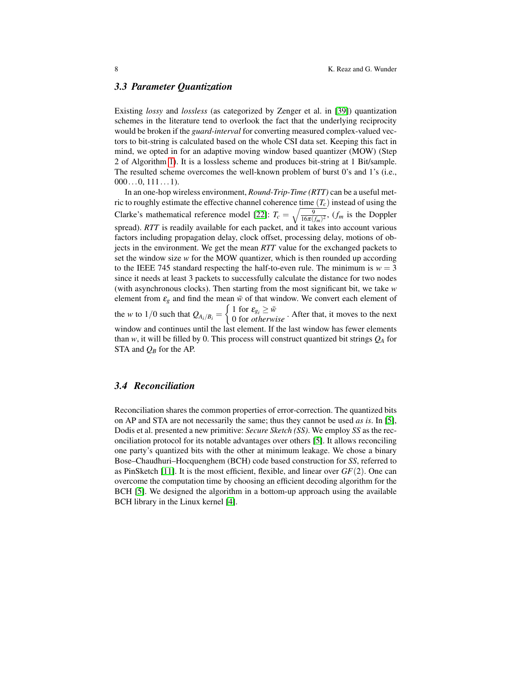### *3.3 Parameter Quantization*

Existing *lossy* and *lossless* (as categorized by Zenger et al. in [\[39\]](#page-13-14)) quantization schemes in the literature tend to overlook the fact that the underlying reciprocity would be broken if the *guard-interval* for converting measured complex-valued vectors to bit-string is calculated based on the whole CSI data set. Keeping this fact in mind, we opted in for an adaptive moving window based quantizer (MOW) (Step 2 of Algorithm [1\)](#page-6-0). It is a lossless scheme and produces bit-string at 1 Bit/sample. The resulted scheme overcomes the well-known problem of burst 0's and 1's (i.e.,  $000...0, 111...1$ .

In an one-hop wireless environment, *Round-Trip-Time (RTT)* can be a useful metric to roughly estimate the effective channel coherence time  $(T_c)$  instead of using the Clarke's mathematical reference model [\[22\]](#page-13-22):  $T_c = \sqrt{\frac{9}{16\pi (f_m)^2}}$ ,  $(f_m$  is the Doppler spread). *RTT* is readily available for each packet, and it takes into account various factors including propagation delay, clock offset, processing delay, motions of objects in the environment. We get the mean *RTT* value for the exchanged packets to set the window size  $w$  for the MOW quantizer, which is then rounded up according to the IEEE 745 standard respecting the half-to-even rule. The minimum is  $w = 3$ since it needs at least 3 packets to successfully calculate the distance for two nodes (with asynchronous clocks). Then starting from the most significant bit, we take *w* element from  $\varepsilon_g$  and find the mean  $\bar{w}$  of that window. We convert each element of the *w* to 1/0 such that  $Q_{A_i/B_i} = \begin{cases} 1 \text{ for } \varepsilon_{g_i} \ge \bar{w} \\ 0 \text{ for otherwise} \end{cases}$ . After that, it moves to the next window and continues until the last element. If the last window has fewer elements than *w*, it will be filled by 0. This process will construct quantized bit strings  $Q_A$  for STA and  $Q_B$  for the AP.

# <span id="page-7-0"></span>*3.4 Reconciliation*

Reconciliation shares the common properties of error-correction. The quantized bits on AP and STA are not necessarily the same; thus they cannot be used *as is*. In [\[5\]](#page-12-6), Dodis et al. presented a new primitive: *Secure Sketch (SS)*. We employ *SS* as the reconciliation protocol for its notable advantages over others [\[5\]](#page-12-6). It allows reconciling one party's quantized bits with the other at minimum leakage. We chose a binary Bose–Chaudhuri–Hocquenghem (BCH) code based construction for *SS*, referred to as PinSketch [\[11\]](#page-12-7). It is the most efficient, flexible, and linear over *GF*(2). One can overcome the computation time by choosing an efficient decoding algorithm for the BCH [\[5\]](#page-12-6). We designed the algorithm in a bottom-up approach using the available BCH library in the Linux kernel [\[4\]](#page-12-8).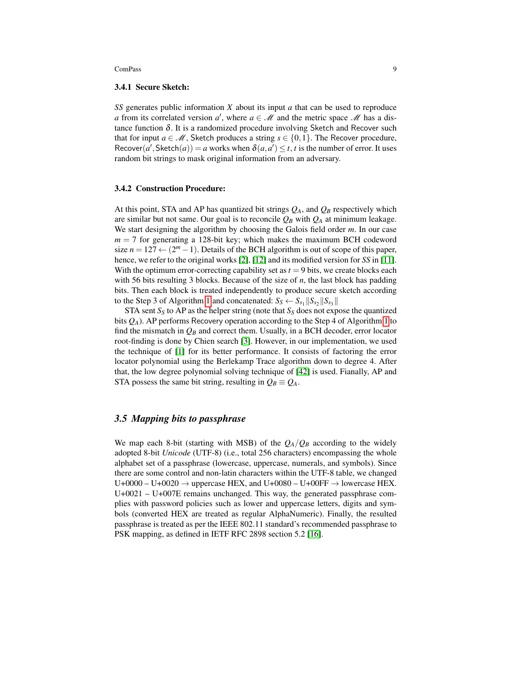#### 3.4.1 Secure Sketch:

*SS* generates public information *X* about its input *a* that can be used to reproduce *a* from its correlated version *a*<sup>'</sup>, where  $a \in \mathcal{M}$  and the metric space  $\mathcal{M}$  has a distance function  $\delta$ . It is a randomized procedure involving Sketch and Recover such that for input  $a \in \mathcal{M}$ , Sketch produces a string  $s \in \{0,1\}$ . The Recover procedure,  $\text{Recover}(a', \text{Sketch}(a)) = a \text{ works when } \delta(a, a') \leq t, t \text{ is the number of error. It uses }$ random bit strings to mask original information from an adversary.

### 3.4.2 Construction Procedure:

At this point, STA and AP has quantized bit strings  $Q_A$ , and  $Q_B$  respectively which are similar but not same. Our goal is to reconcile  $Q_B$  with  $Q_A$  at minimum leakage. We start designing the algorithm by choosing the Galois field order *m*. In our case  $m = 7$  for generating a 128-bit key; which makes the maximum BCH codeword size  $n = 127 \leftarrow (2^m - 1)$ . Details of the BCH algorithm is out of scope of this paper, hence, we refer to the original works [\[2\]](#page-12-9), [\[12\]](#page-12-10) and its modified version for *SS* in [\[11\]](#page-12-7). With the optimum error-correcting capability set as  $t = 9$  bits, we create blocks each with 56 bits resulting 3 blocks. Because of the size of *n*, the last block has padding bits. Then each block is treated independently to produce secure sketch according to the Step 3 of Algorithm [1](#page-6-0) and concatenated:  $S_S \leftarrow S_{s_1} || S_{s_2} || S_{s_3} ||$ 

STA sent  $S_S$  to AP as the helper string (note that  $S_S$  does not expose the quantized bits *QA*). AP performs Recovery operation according to the Step 4 of Algorithm [1](#page-6-0) to find the mismatch in  $Q_B$  and correct them. Usually, in a BCH decoder, error locator root-finding is done by Chien search [\[3\]](#page-12-11). However, in our implementation, we used the technique of [\[1\]](#page-12-12) for its better performance. It consists of factoring the error locator polynomial using the Berlekamp Trace algorithm down to degree 4. After that, the low degree polynomial solving technique of [\[42\]](#page-13-23) is used. Fianally, AP and STA possess the same bit string, resulting in  $Q_B \equiv Q_A$ .

### <span id="page-8-0"></span>*3.5 Mapping bits to passphrase*

We map each 8-bit (starting with MSB) of the  $Q_A/Q_B$  according to the widely adopted 8-bit *Unicode* (UTF-8) (i.e., total 256 characters) encompassing the whole alphabet set of a passphrase (lowercase, uppercase, numerals, and symbols). Since there are some control and non-latin characters within the UTF-8 table, we changed  $U+0000 - U+0020 \rightarrow$  uppercase HEX, and  $U+0080 - U+00FF \rightarrow$  lowercase HEX.  $U+0021 - U+007E$  remains unchanged. This way, the generated passphrase complies with password policies such as lower and uppercase letters, digits and symbols (converted HEX are treated as regular AlphaNumeric). Finally, the resulted passphrase is treated as per the IEEE 802.11 standard's recommended passphrase to PSK mapping, as defined in IETF RFC 2898 section 5.2 [\[16\]](#page-12-13).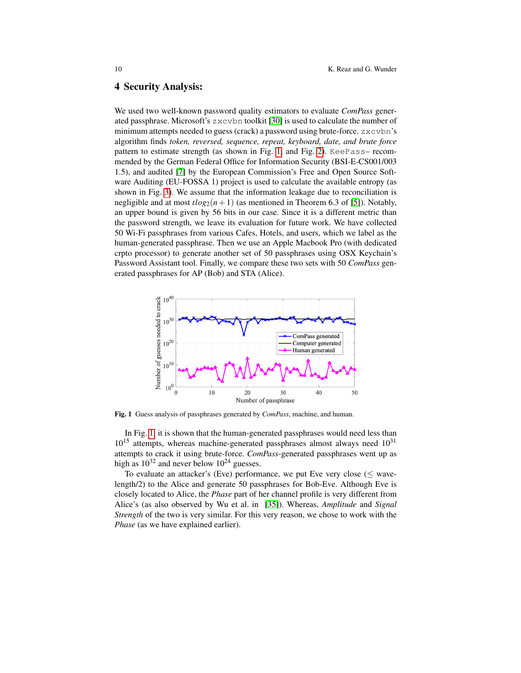### <span id="page-9-0"></span>4 Security Analysis:

We used two well-known password quality estimators to evaluate *ComPass* generated passphrase. Microsoft's  $z \times c$  vbn toolkit [\[30\]](#page-13-24) is used to calculate the number of minimum attempts needed to guess (crack) a password using brute-force. zxcvbn's algorithm finds *token, reversed, sequence, repeat, keyboard, date, and brute force* pattern to estimate strength (as shown in Fig. [1,](#page-9-1) and Fig. [2\)](#page-10-0). KeePass– recommended by the German Federal Office for Information Security (BSI-E-CS001/003 1.5), and audited [\[7\]](#page-12-14) by the European Commission's Free and Open Source Software Auditing (EU-FOSSA 1) project is used to calculate the available entropy (as shown in Fig. [3\)](#page-10-1). We assume that the information leakage due to reconciliation is negligible and at most  $t\log_2(n+1)$  (as mentioned in Theorem 6.3 of [\[5\]](#page-12-6)). Notably, an upper bound is given by 56 bits in our case. Since it is a different metric than the password strength, we leave its evaluation for future work. We have collected 50 Wi-Fi passphrases from various Cafes, Hotels, and users, which we label as the human-generated passphrase. Then we use an Apple Macbook Pro (with dedicated crpto processor) to generate another set of 50 passphrases using OSX Keychain's Password Assistant tool. Finally, we compare these two sets with 50 *ComPass* generated passphrases for AP (Bob) and STA (Alice).



<span id="page-9-1"></span>Fig. 1 Guess analysis of passphrases generated by *ComPass*, machine, and human.

In Fig. [1,](#page-9-1) it is shown that the human-generated passphrases would need less than  $10^{15}$  attempts, whereas machine-generated passphrases almost always need  $10^{31}$ attempts to crack it using brute-force. *ComPass*-generated passphrases went up as high as  $10^{32}$  and never below  $10^{24}$  guesses.

To evaluate an attacker's (Eve) performance, we put Eve very close ( $\leq$  wavelength/2) to the Alice and generate 50 passphrases for Bob-Eve. Although Eve is closely located to Alice, the *Phase* part of her channel profile is very different from Alice's (as also observed by Wu et al. in [\[35\]](#page-13-19)). Whereas, *Amplitude* and *Signal Strength* of the two is very similar. For this very reason, we chose to work with the *Phase* (as we have explained earlier).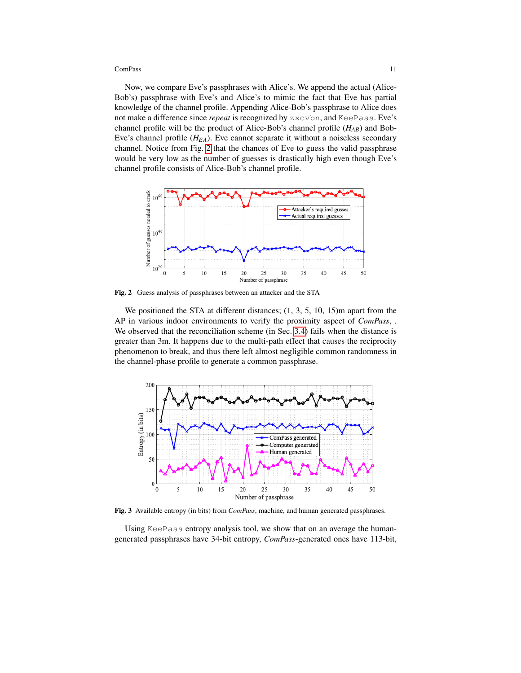Now, we compare Eve's passphrases with Alice's. We append the actual (Alice-Bob's) passphrase with Eve's and Alice's to mimic the fact that Eve has partial knowledge of the channel profile. Appending Alice-Bob's passphrase to Alice does not make a difference since *repeat* is recognized by zxcvbn, and KeePass. Eve's channel profile will be the product of Alice-Bob's channel profile (*HAB*) and Bob-Eve's channel profile (*HEA*). Eve cannot separate it without a noiseless secondary channel. Notice from Fig. [2](#page-10-0) that the chances of Eve to guess the valid passphrase would be very low as the number of guesses is drastically high even though Eve's channel profile consists of Alice-Bob's channel profile.



<span id="page-10-0"></span>Fig. 2 Guess analysis of passphrases between an attacker and the STA

We positioned the STA at different distances;  $(1, 3, 5, 10, 15)$ m apart from the AP in various indoor environments to verify the proximity aspect of *ComPass*, . We observed that the reconciliation scheme (in Sec. [3.4\)](#page-7-0) fails when the distance is greater than 3m. It happens due to the multi-path effect that causes the reciprocity phenomenon to break, and thus there left almost negligible common randomness in the channel-phase profile to generate a common passphrase.



<span id="page-10-1"></span>Fig. 3 Available entropy (in bits) from *ComPass*, machine, and human generated passphrases.

Using KeePass entropy analysis tool, we show that on an average the humangenerated passphrases have 34-bit entropy, *ComPass*-generated ones have 113-bit,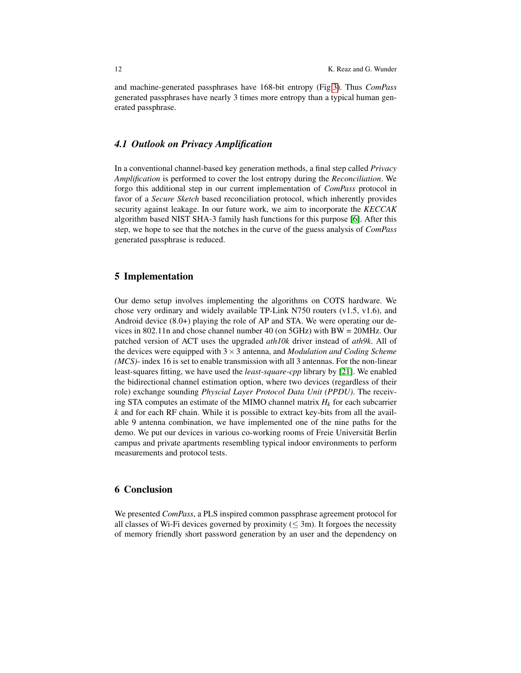and machine-generated passphrases have 168-bit entropy (Fig[.3\)](#page-10-1). Thus *ComPass* generated passphrases have nearly 3 times more entropy than a typical human generated passphrase.

# *4.1 Outlook on Privacy Amplification*

In a conventional channel-based key generation methods, a final step called *Privacy Amplification* is performed to cover the lost entropy during the *Reconciliation*. We forgo this additional step in our current implementation of *ComPass* protocol in favor of a *Secure Sketch* based reconciliation protocol, which inherently provides security against leakage. In our future work, we aim to incorporate the *KECCAK* algorithm based NIST SHA-3 family hash functions for this purpose [\[6\]](#page-12-15). After this step, we hope to see that the notches in the curve of the guess analysis of *ComPass* generated passphrase is reduced.

# <span id="page-11-0"></span>5 Implementation

Our demo setup involves implementing the algorithms on COTS hardware. We chose very ordinary and widely available TP-Link N750 routers  $(v1.5, v1.6)$ , and Android device (8.0+) playing the role of AP and STA. We were operating our devices in 802.11n and chose channel number 40 (on 5GHz) with BW = 20MHz. Our patched version of ACT uses the upgraded *ath10k* driver instead of *ath9k*. All of the devices were equipped with 3×3 antenna, and *Modulation and Coding Scheme (MCS)*- index 16 is set to enable transmission with all 3 antennas. For the non-linear least-squares fitting, we have used the *least-square-cpp* library by [\[21\]](#page-13-25). We enabled the bidirectional channel estimation option, where two devices (regardless of their role) exchange sounding *Physcial Layer Protocol Data Unit (PPDU)*. The receiving STA computes an estimate of the MIMO channel matrix *H<sup>k</sup>* for each subcarrier *k* and for each RF chain. While it is possible to extract key-bits from all the available 9 antenna combination, we have implemented one of the nine paths for the demo. We put our devices in various co-working rooms of Freie Universität Berlin campus and private apartments resembling typical indoor environments to perform measurements and protocol tests.

# <span id="page-11-1"></span>6 Conclusion

We presented *ComPass*, a PLS inspired common passphrase agreement protocol for all classes of Wi-Fi devices governed by proximity ( $\leq 3$ m). It forgoes the necessity of memory friendly short password generation by an user and the dependency on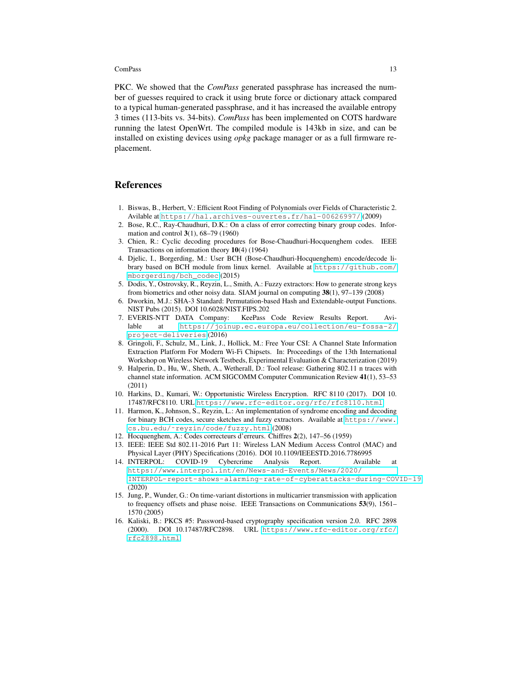PKC. We showed that the *ComPass* generated passphrase has increased the number of guesses required to crack it using brute force or dictionary attack compared to a typical human-generated passphrase, and it has increased the available entropy 3 times (113-bits vs. 34-bits). *ComPass* has been implemented on COTS hardware running the latest OpenWrt. The compiled module is 143kb in size, and can be installed on existing devices using *opkg* package manager or as a full firmware replacement.

### **References**

- <span id="page-12-12"></span>1. Biswas, B., Herbert, V.: Efficient Root Finding of Polynomials over Fields of Characteristic 2. Avilable at <https://hal.archives-ouvertes.fr/hal-00626997/> (2009)
- <span id="page-12-9"></span>2. Bose, R.C., Ray-Chaudhuri, D.K.: On a class of error correcting binary group codes. Information and control 3(1), 68–79 (1960)
- <span id="page-12-11"></span>3. Chien, R.: Cyclic decoding procedures for Bose-Chaudhuri-Hocquenghem codes. IEEE Transactions on information theory 10(4) (1964)
- <span id="page-12-8"></span>4. Djelic, I., Borgerding, M.: User BCH (Bose-Chaudhuri-Hocquenghem) encode/decode library based on BCH module from linux kernel. Available at [https://github.com/](https://github.com/mborgerding/bch_codec) [mborgerding/bch\\_codec](https://github.com/mborgerding/bch_codec) (2015)
- <span id="page-12-6"></span>5. Dodis, Y., Ostrovsky, R., Reyzin, L., Smith, A.: Fuzzy extractors: How to generate strong keys from biometrics and other noisy data. SIAM journal on computing 38(1), 97–139 (2008)
- <span id="page-12-15"></span>6. Dworkin, M.J.: SHA-3 Standard: Permutation-based Hash and Extendable-output Functions. NIST Pubs (2015). DOI 10.6028/NIST.FIPS.202
- <span id="page-12-14"></span>7. EVERIS-NTT DATA Company: KeePass Code Review Results Report. Avilable at [https://joinup.ec.europa.eu/collection/eu-fossa-2/](https://joinup.ec.europa.eu/collection/eu-fossa-2/project-deliveries) [project-deliveries](https://joinup.ec.europa.eu/collection/eu-fossa-2/project-deliveries) (2016)
- <span id="page-12-4"></span>8. Gringoli, F., Schulz, M., Link, J., Hollick, M.: Free Your CSI: A Channel State Information Extraction Platform For Modern Wi-Fi Chipsets. In: Proceedings of the 13th International Workshop on Wireless Network Testbeds, Experimental Evaluation & Characterization (2019)
- <span id="page-12-3"></span>9. Halperin, D., Hu, W., Sheth, A., Wetherall, D.: Tool release: Gathering 802.11 n traces with channel state information. ACM SIGCOMM Computer Communication Review 41(1), 53–53 (2011)
- <span id="page-12-1"></span>10. Harkins, D., Kumari, W.: Opportunistic Wireless Encryption. RFC 8110 (2017). DOI 10. 17487/RFC8110. URL <https://www.rfc-editor.org/rfc/rfc8110.html>
- <span id="page-12-7"></span>11. Harmon, K., Johnson, S., Reyzin, L.: An implementation of syndrome encoding and decoding for binary BCH codes, secure sketches and fuzzy extractors. Available at [https://www.](https://www.cs.bu.edu/~reyzin/code/fuzzy.html) [cs.bu.edu/˜reyzin/code/fuzzy.html](https://www.cs.bu.edu/~reyzin/code/fuzzy.html) (2008)
- <span id="page-12-10"></span>12. Hocquenghem, A.: Codes correcteurs d'erreurs. Chiffres 2(2), 147–56 (1959)
- <span id="page-12-2"></span>13. IEEE: IEEE Std 802.11-2016 Part 11: Wireless LAN Medium Access Control (MAC) and Physical Layer (PHY) Specifications (2016). DOI 10.1109/IEEESTD.2016.7786995
- <span id="page-12-0"></span>14. INTERPOL: COVID-19 Cybercrime Analysis Report. Available [https://www.interpol.int/en/News-and-Events/News/2020/](https://www.interpol.int/en/News-and-Events/News/2020/INTERPOL-report-shows-alarming-rate-of-cyberattacks-during-COVID-19) [INTERPOL-report-shows-alarming-rate-of-cyberattacks-during-COVID-19](https://www.interpol.int/en/News-and-Events/News/2020/INTERPOL-report-shows-alarming-rate-of-cyberattacks-during-COVID-19) (2020)
- <span id="page-12-5"></span>15. Jung, P., Wunder, G.: On time-variant distortions in multicarrier transmission with application to frequency offsets and phase noise. IEEE Transactions on Communications 53(9), 1561– 1570 (2005)
- <span id="page-12-13"></span>16. Kaliski, B.: PKCS #5: Password-based cryptography specification version 2.0. RFC 2898 (2000). DOI 10.17487/RFC2898. URL [https://www.rfc-editor.org/rfc/](https://www.rfc-editor.org/rfc/rfc2898.html) [rfc2898.html](https://www.rfc-editor.org/rfc/rfc2898.html)